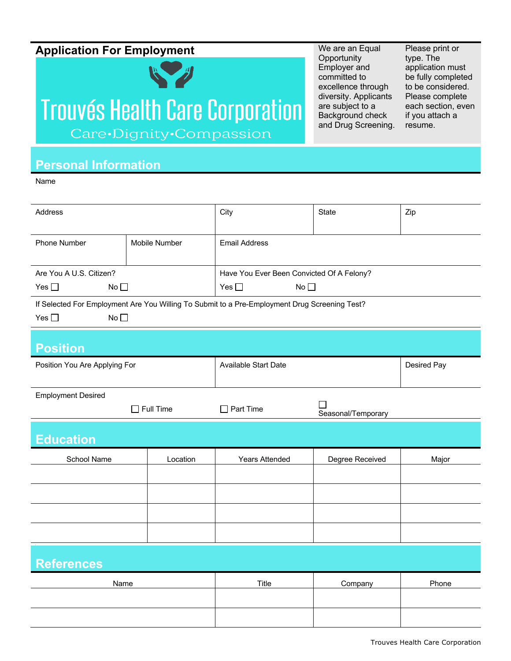## **Application For Employment** We are an Equal

## R & H **Trouvés Health Care Corporation** Care•Dignity•Compassion

**Opportunity** Employer and committed to excellence through diversity. Applicants are subject to a Background check and Drug Screening. Please print or type. The application must be fully completed to be considered. Please complete each section, even if you attach a resume.

## **Personal Information**

Name

| Address                                                                                                              |               | City                                                   | <b>State</b>    | Zip         |  |  |
|----------------------------------------------------------------------------------------------------------------------|---------------|--------------------------------------------------------|-----------------|-------------|--|--|
| <b>Phone Number</b>                                                                                                  | Mobile Number | <b>Email Address</b>                                   |                 |             |  |  |
| Are You A U.S. Citizen?                                                                                              |               | Have You Ever Been Convicted Of A Felony?              |                 |             |  |  |
| No<br>Yes $\square$                                                                                                  |               | No<br>Yes $\square$                                    |                 |             |  |  |
| If Selected For Employment Are You Willing To Submit to a Pre-Employment Drug Screening Test?<br>Yes $\square$<br>No |               |                                                        |                 |             |  |  |
| <b>Position</b>                                                                                                      |               |                                                        |                 |             |  |  |
| Position You Are Applying For                                                                                        |               | <b>Available Start Date</b>                            |                 | Desired Pay |  |  |
| <b>Employment Desired</b>                                                                                            |               |                                                        |                 |             |  |  |
| $\Box$ Full Time                                                                                                     |               | $\mathbf{I}$<br>$\Box$ Part Time<br>Seasonal/Temporary |                 |             |  |  |
| <b>Education</b>                                                                                                     |               |                                                        |                 |             |  |  |
| School Name                                                                                                          | Location      | <b>Years Attended</b>                                  | Degree Received | Major       |  |  |
|                                                                                                                      |               |                                                        |                 |             |  |  |
|                                                                                                                      |               |                                                        |                 |             |  |  |
|                                                                                                                      |               |                                                        |                 |             |  |  |
|                                                                                                                      |               |                                                        |                 |             |  |  |
| <b>References</b>                                                                                                    |               |                                                        |                 |             |  |  |
| Name                                                                                                                 |               | Title                                                  | Company         | Phone       |  |  |
|                                                                                                                      |               |                                                        |                 |             |  |  |
|                                                                                                                      |               |                                                        |                 |             |  |  |